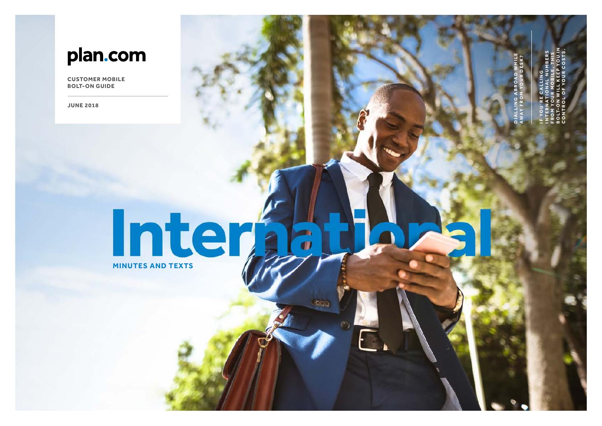## plan.com

**CUSTOMER MOBILE BOLT-ON GUIDE**

**JUNE 2018**

# **Internal Company**

 $\overline{\bullet}$ 

IF YOU'RE CALLING INTERNATIONAL NUMBERS FROM YOUR MOBILE, THIS BOLT-ON WILL KEEP YOU IN CONTROL OF YOUR COSTS.

DIALLING ABROAD WHILE **AWAY F R O M YO U R D E S K ?**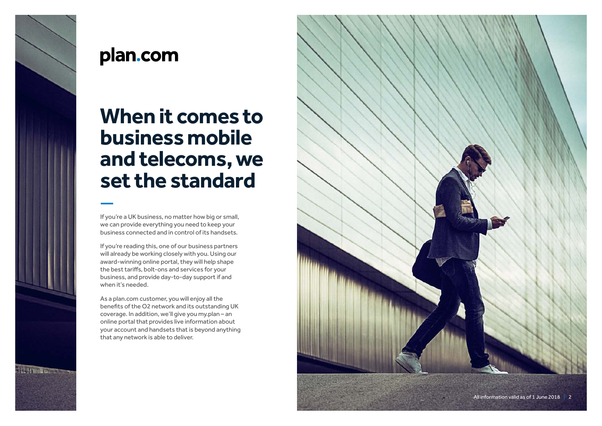

## plan.com

## **When it comes to business mobile and telecoms, we set the standard**

If you're a UK business, no matter how big or small, we can provide everything you need to keep your business connected and in control of its handsets.

If you're reading this, one of our business partners will already be working closely with you. Using our award-winning online portal, they will help shape the best tariffs, bolt-ons and services for your business, and provide day-to-day support if and when it's needed.

As a plan.com customer, you will enjoy all the benefits of the O2 network and its outstanding UK coverage. In addition, we'll give you my.plan – an online portal that provides live information about your account and handsets that is beyond anything that any network is able to deliver.

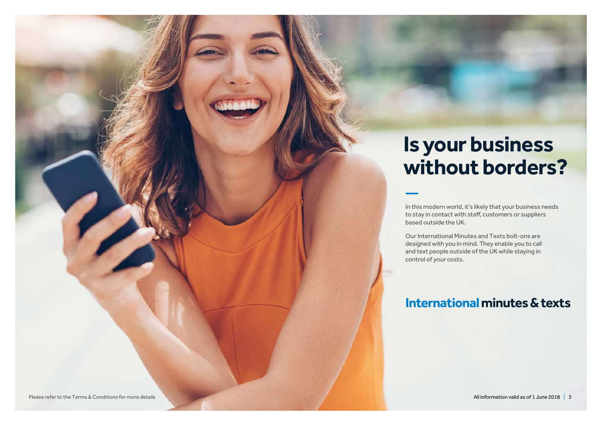## **Is your business without borders?**

In this modern world, it's likely that your business needs to stay in contact with staff, customers or suppliers based outside the UK.

Our International Minutes and Texts bolt-ons are designed with you in mind. They enable you to call and text people outside of the UK while staying in control of your costs.

### **International minutes & texts**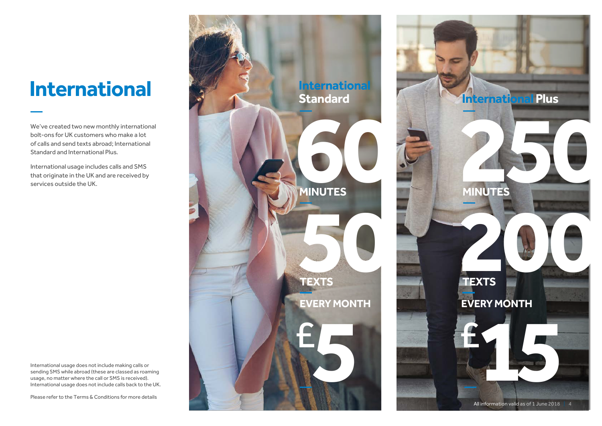We've created two new monthly international bolt-ons for UK customers who make a lot of calls and send texts abroad; International Standard and International Plus.

International usage includes calls and SMS that originate in the UK and are received by services outside the UK.

International usage does not include making calls or sending SMS while abroad (these are classed as roaming usage, no matter where the call or SMS is received). International usage does not include calls back to the UK.

Please refer to the Terms & Conditions for more details



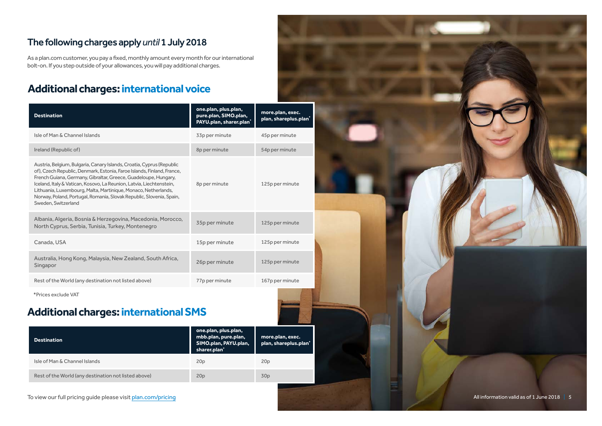#### The following charges apply *until* 1 July 2018

As a plan.com customer, you pay a fixed, monthly amount every month for our international bolt-on. If you step outside of your allowances, you will pay additional charges.

#### **Additional charges: international voice**

| <b>Destination</b>                                                                                                                                                                                                                                                                                                                                                                                                                                          | one.plan, plus.plan,<br>pure.plan, SIMO.plan,<br>PAYU.plan, sharer.plan <sup>*</sup> | more.plan, exec.<br>plan, shareplus.plan' |
|-------------------------------------------------------------------------------------------------------------------------------------------------------------------------------------------------------------------------------------------------------------------------------------------------------------------------------------------------------------------------------------------------------------------------------------------------------------|--------------------------------------------------------------------------------------|-------------------------------------------|
| Isle of Man & Channel Islands                                                                                                                                                                                                                                                                                                                                                                                                                               | 33p per minute                                                                       | 45p per minute                            |
| Ireland (Republic of)                                                                                                                                                                                                                                                                                                                                                                                                                                       | 8p per minute                                                                        | 54p per minute                            |
| Austria, Belgium, Bulgaria, Canary Islands, Croatia, Cyprus (Republic<br>of), Czech Republic, Denmark, Estonia, Faroe Islands, Finland, France,<br>French Guiana, Germany, Gibraltar, Greece, Guadeloupe, Hungary,<br>Iceland, Italy & Vatican, Kosovo, La Reunion, Latvia, Liechtenstein,<br>Lithuania, Luxembourg, Malta, Martinique, Monaco, Netherlands,<br>Norway, Poland, Portugal, Romania, Slovak Republic, Slovenia, Spain,<br>Sweden, Switzerland | 8p per minute                                                                        | 125p per minute                           |
| Albania, Algeria, Bosnia & Herzegovina, Macedonia, Morocco,<br>North Cyprus, Serbia, Tunisia, Turkey, Montenegro                                                                                                                                                                                                                                                                                                                                            | 35p per minute                                                                       | 125p per minute                           |
| Canada, USA                                                                                                                                                                                                                                                                                                                                                                                                                                                 | 15p per minute                                                                       | 125p per minute                           |
| Australia, Hong Kong, Malaysia, New Zealand, South Africa,<br>Singapor                                                                                                                                                                                                                                                                                                                                                                                      | 26p per minute                                                                       | 125p per minute                           |
| Rest of the World (any destination not listed above)                                                                                                                                                                                                                                                                                                                                                                                                        | 77p per minute                                                                       | 167p per minute                           |

\*Prices exclude VAT

#### **Additional charges: international SMS**

| <b>Destination</b>                                   | one.plan, plus.plan,<br>mbb.plan, pure.plan,<br>SIMO.plan, PAYU.plan,<br>sharer.plan' | more.plan, exec.<br>plan, shareplus.plan <sup>*</sup> |
|------------------------------------------------------|---------------------------------------------------------------------------------------|-------------------------------------------------------|
| Isle of Man & Channel Islands                        | 20 <sub>p</sub>                                                                       | 20 <sub>p</sub>                                       |
| Rest of the World (any destination not listed above) | 20 <sub>p</sub>                                                                       | 30p                                                   |

To view our full pricing guide please visit plan.com/pricing

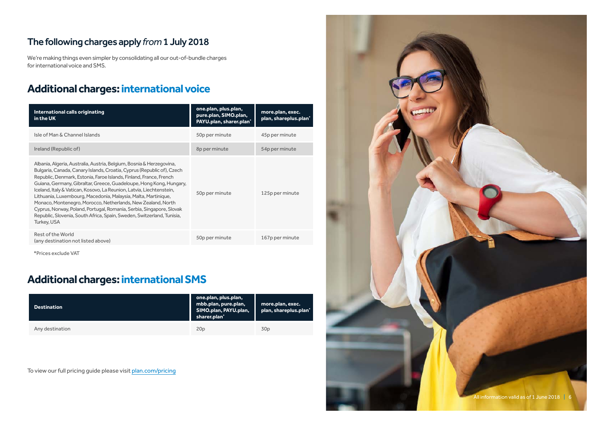#### The following charges apply *from* 1 July 2018

We're making things even simpler by consolidating all our out-of-bundle charges for international voice and SMS.

#### **Additional charges: international voice**

| International calls originating<br>in the UK                                                                                                                                                                                                                                                                                                                                                                                                                                                                                                                                                                                                                           | one.plan, plus.plan,<br>pure.plan, SIMO.plan,<br>PAYU.plan, sharer.plan <sup>*</sup> | more.plan, exec.<br>plan, shareplus.plan' |
|------------------------------------------------------------------------------------------------------------------------------------------------------------------------------------------------------------------------------------------------------------------------------------------------------------------------------------------------------------------------------------------------------------------------------------------------------------------------------------------------------------------------------------------------------------------------------------------------------------------------------------------------------------------------|--------------------------------------------------------------------------------------|-------------------------------------------|
| Isle of Man & Channel Islands                                                                                                                                                                                                                                                                                                                                                                                                                                                                                                                                                                                                                                          | 50p per minute                                                                       | 45p per minute                            |
| Ireland (Republic of)                                                                                                                                                                                                                                                                                                                                                                                                                                                                                                                                                                                                                                                  | 8p per minute                                                                        | 54p per minute                            |
| Albania, Algeria, Australia, Austria, Belgium, Bosnia & Herzegovina,<br>Bulgaria, Canada, Canary Islands, Croatia, Cyprus (Republic of), Czech<br>Republic, Denmark, Estonia, Faroe Islands, Finland, France, French<br>Guiana, Germany, Gibraltar, Greece, Guadeloupe, Hong Kong, Hungary,<br>Iceland, Italy & Vatican, Kosovo, La Reunion, Latvia, Liechtenstein,<br>Lithuania, Luxembourg, Macedonia, Malaysia, Malta, Martinique,<br>Monaco, Montenegro, Morocco, Netherlands, New Zealand, North<br>Cyprus, Norway, Poland, Portugal, Romania, Serbia, Singapore, Slovak<br>Republic, Slovenia, South Africa, Spain, Sweden, Switzerland, Tunisia,<br>Turkey, USA | 50p per minute                                                                       | 125p per minute                           |
| Rest of the World<br>(any destination not listed above)                                                                                                                                                                                                                                                                                                                                                                                                                                                                                                                                                                                                                | 50p per minute                                                                       | 167p per minute                           |

\*Prices exclude VAT

#### **Additional charges: international SMS**

| <b>Destination</b> | one.plan, plus.plan,<br>mbb.plan, pure.plan,<br>SIMO.plan, PAYU.plan,<br>sharer.plan' | more.plan, exec.<br>plan, shareplus.plan' |
|--------------------|---------------------------------------------------------------------------------------|-------------------------------------------|
| Any destination    | 20p                                                                                   | 30p                                       |

To view our full pricing guide please visit plan.com/pricing